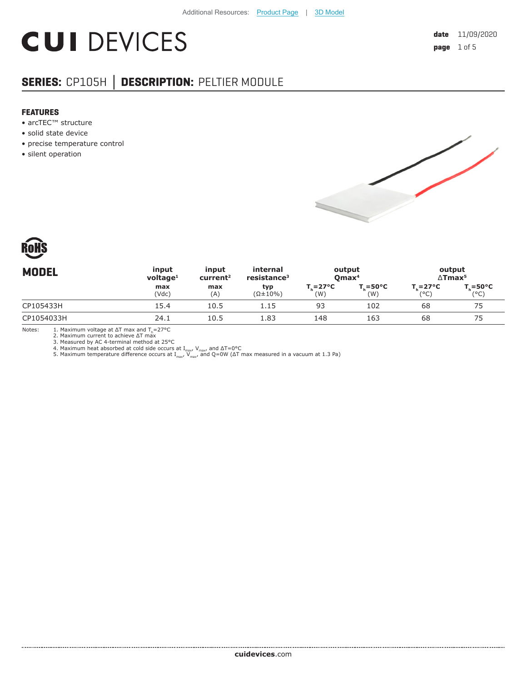# **CUI DEVICES**

### **SERIES:** CP105H **│ DESCRIPTION:** PELTIER MODULE

#### **FEATURES**

- arcTEC™ structure
- solid state device
- precise temperature control
- silent operation





|              |            | resistance <sup>3</sup>                         | output<br>Qmax <sup>4</sup> |                        | output<br>$\Delta$ Tmax <sup>5</sup>   |                               |
|--------------|------------|-------------------------------------------------|-----------------------------|------------------------|----------------------------------------|-------------------------------|
| max<br>(Vdc) | max<br>(A) | typ<br>$(\Omega \pm 10\%)$                      | $T_c = 27^{\circ}C$<br>(W)  | $\bar{ }$ =50°C<br>(W) | $T_{c} = 27^{\circ}C$<br>$(^{\circ}C)$ | $T_{c} = 50^{\circ}C$<br>(°C) |
| 15.4         | 10.5       | 1.15                                            | 93                          | 102                    | 68                                     |                               |
| 24.1         | 10.5       | 1.83                                            | 148                         | 163                    | 68                                     |                               |
|              |            | $v$ oltage <sup>1</sup><br>current <sup>2</sup> |                             |                        |                                        |                               |

Notes: 1. Maximum voltage at  $\Delta T$  max and  $T_h$ =27°C

2. Maximum current to achieve ΔT max

3. Measured by AC 4-terminal method at 25°C<br>4. Maximum heat absorbed at cold side occurs at I<sub>max</sub>, V<sub>max</sub>, and ΔT=0°C<br>5. Maximum temperature difference occurs at I<sub>max</sub>, V<sub>max</sub>, and Q=0W (ΔT max measured in a vacuum at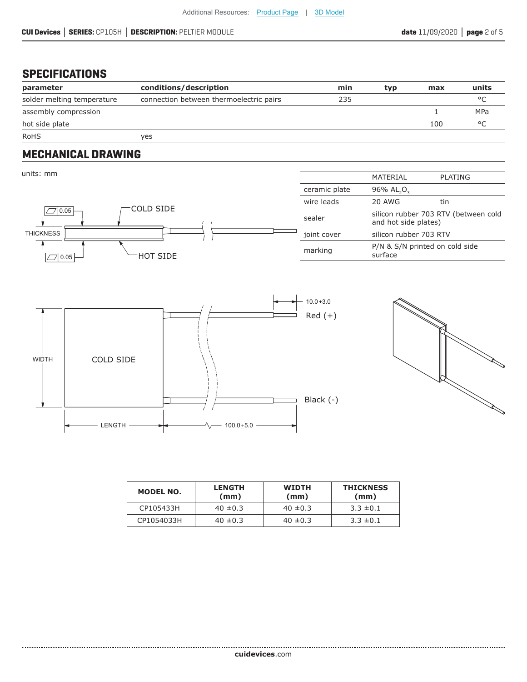#### **SPECIFICATIONS**

.....................

| parameter                  | conditions/description                  | min | typ | max | units   |
|----------------------------|-----------------------------------------|-----|-----|-----|---------|
| solder melting temperature | connection between thermoelectric pairs | 235 |     |     |         |
| assembly compression       |                                         |     |     |     | MPa     |
| hot side plate             |                                         |     |     | 100 | $\circ$ |
| <b>RoHS</b>                | yes                                     |     |     |     |         |

#### **MECHANICAL DRAWING**







| MODEL NO.  | <b>LENGTH</b><br>(mm) | <b>WIDTH</b><br>(mm) | <b>THICKNESS</b><br>(mm) |
|------------|-----------------------|----------------------|--------------------------|
| CP105433H  | $40 \pm 0.3$          | $40 \pm 0.3$         | $3.3 \pm 0.1$            |
| CP1054033H | $40 \pm 0.3$          | $40 \pm 0.3$         | $3.3 \pm 0.1$            |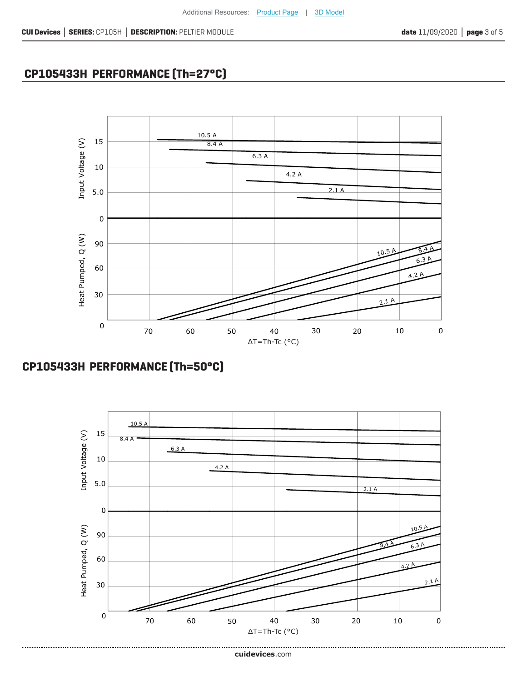## **CP105433H PERFORMANCE (Th=27°C)**



## **CP105433H PERFORMANCE (Th=50°C)**

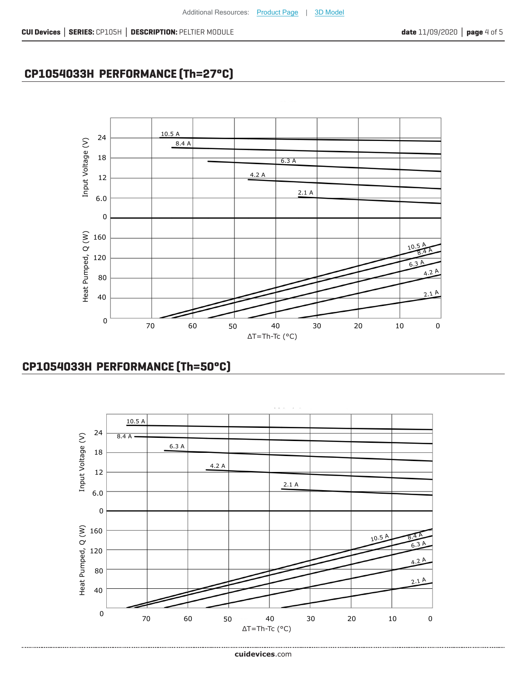## **CP1054033H PERFORMANCE (Th=27°C)**



### **CP1054033H PERFORMANCE (Th=50°C)**